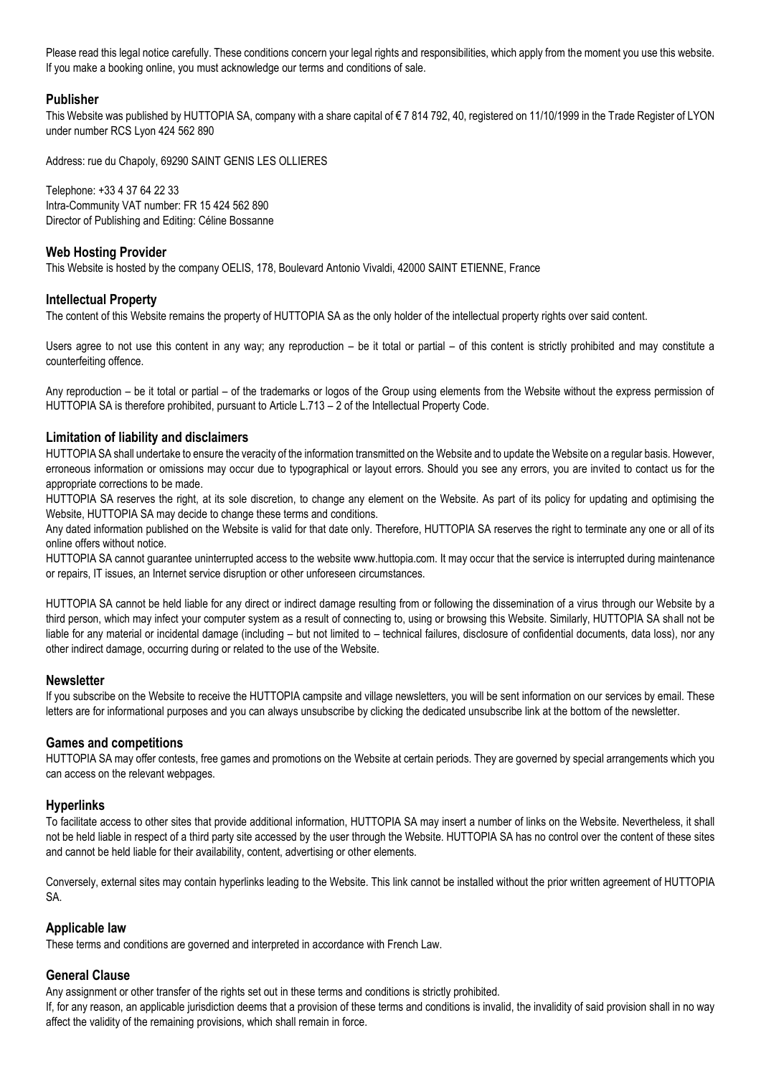Please read this legal notice carefully. These conditions concern your legal rights and responsibilities, which apply from the moment you use this website. If you make a booking online, you must acknowledge our terms and conditions of sale.

## **Publisher**

This Website was published by HUTTOPIA SA, company with a share capital of €7 814 792, 40, registered on 11/10/1999 in the Trade Register of LYON under number RCS Lyon 424 562 890

Address: rue du Chapoly, 69290 SAINT GENIS LES OLLIERES

Telephone: +33 4 37 64 22 33 Intra-Community VAT number: FR 15 424 562 890 Director of Publishing and Editing: Céline Bossanne

## **Web Hosting Provider**

This Website is hosted by the company OELIS, 178, Boulevard Antonio Vivaldi, 42000 SAINT ETIENNE, France

## **Intellectual Property**

The content of this Website remains the property of HUTTOPIA SA as the only holder of the intellectual property rights over said content.

Users agree to not use this content in any way; any reproduction – be it total or partial – of this content is strictly prohibited and may constitute a counterfeiting offence.

Any reproduction – be it total or partial – of the trademarks or logos of the Group using elements from the Website without the express permission of HUTTOPIA SA is therefore prohibited, pursuant to Article L.713 – 2 of the Intellectual Property Code.

## **Limitation of liability and disclaimers**

HUTTOPIA SA shall undertake to ensure the veracity of the information transmitted on the Website and to update the Website on a regular basis. However, erroneous information or omissions may occur due to typographical or layout errors. Should you see any errors, you are invited to contact us for the appropriate corrections to be made.

HUTTOPIA SA reserves the right, at its sole discretion, to change any element on the Website. As part of its policy for updating and optimising the Website, HUTTOPIA SA may decide to change these terms and conditions.

Any dated information published on the Website is valid for that date only. Therefore, HUTTOPIA SA reserves the right to terminate any one or all of its online offers without notice.

HUTTOPIA SA cannot guarantee uninterrupted access to the website www.huttopia.com. It may occur that the service is interrupted during maintenance or repairs, IT issues, an Internet service disruption or other unforeseen circumstances.

HUTTOPIA SA cannot be held liable for any direct or indirect damage resulting from or following the dissemination of a virus through our Website by a third person, which may infect your computer system as a result of connecting to, using or browsing this Website. Similarly, HUTTOPIA SA shall not be liable for any material or incidental damage (including – but not limited to – technical failures, disclosure of confidential documents, data loss), nor any other indirect damage, occurring during or related to the use of the Website.

#### **Newsletter**

If you subscribe on the Website to receive the HUTTOPIA campsite and village newsletters, you will be sent information on our services by email. These letters are for informational purposes and you can always unsubscribe by clicking the dedicated unsubscribe link at the bottom of the newsletter.

#### **Games and competitions**

HUTTOPIA SA may offer contests, free games and promotions on the Website at certain periods. They are governed by special arrangements which you can access on the relevant webpages.

#### **Hyperlinks**

To facilitate access to other sites that provide additional information, HUTTOPIA SA may insert a number of links on the Website. Nevertheless, it shall not be held liable in respect of a third party site accessed by the user through the Website. HUTTOPIA SA has no control over the content of these sites and cannot be held liable for their availability, content, advertising or other elements.

Conversely, external sites may contain hyperlinks leading to the Website. This link cannot be installed without the prior written agreement of HUTTOPIA SA.

#### **Applicable law**

These terms and conditions are governed and interpreted in accordance with French Law.

## **General Clause**

Any assignment or other transfer of the rights set out in these terms and conditions is strictly prohibited.

If, for any reason, an applicable jurisdiction deems that a provision of these terms and conditions is invalid, the invalidity of said provision shall in no way affect the validity of the remaining provisions, which shall remain in force.